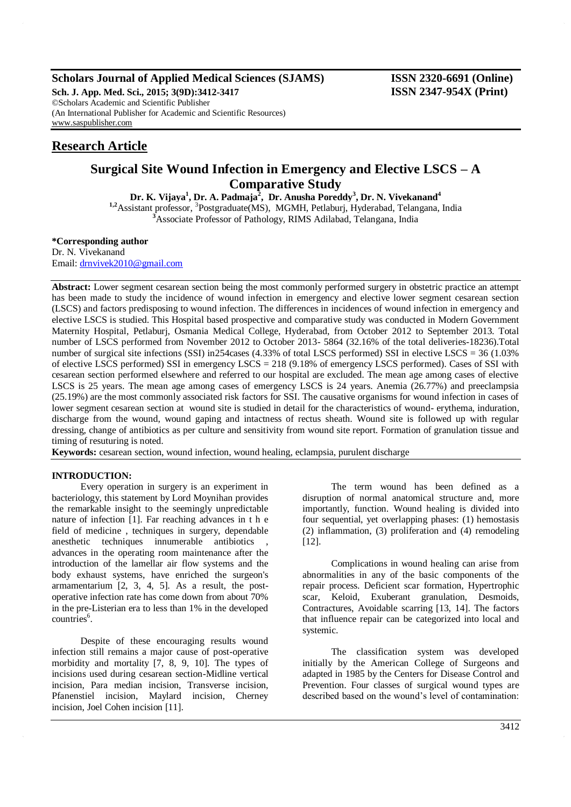# **Scholars Journal of Applied Medical Sciences (SJAMS) ISSN 2320-6691 (Online)**

**Sch. J. App. Med. Sci., 2015; 3(9D):3412-3417 ISSN 2347-954X (Print)** ©Scholars Academic and Scientific Publisher (An International Publisher for Academic and Scientific Resources) [www.saspublisher.com](http://www.saspublisher.com/)

# **Research Article**

# **Surgical Site Wound Infection in Emergency and Elective LSCS – A Comparative Study**

**Dr. K. Vijaya<sup>1</sup> , Dr. A. Padmaja<sup>2</sup> , Dr. Anusha Poreddy<sup>3</sup> , Dr. N. Vivekanand<sup>4</sup>** <sup>1,2</sup>Assistant professor, <sup>3</sup>Postgraduate(MS), MGMH, Petlaburj, Hyderabad, Telangana, India <sup>3</sup>Associate Professor of Pathology, RIMS Adilabad, Telangana, India

**\*Corresponding author**

Dr. N. Vivekanand Email: [drnvivek2010@gmail.com](mailto:drnvivek2010@gmail.com)

**Abstract:** Lower segment cesarean section being the most commonly performed surgery in obstetric practice an attempt has been made to study the incidence of wound infection in emergency and elective lower segment cesarean section (LSCS) and factors predisposing to wound infection. The differences in incidences of wound infection in emergency and elective LSCS is studied. This Hospital based prospective and comparative study was conducted in Modern Government Maternity Hospital, Petlaburj, Osmania Medical College, Hyderabad, from October 2012 to September 2013. Total number of LSCS performed from November 2012 to October 2013- 5864 (32.16% of the total deliveries-18236).Total number of surgical site infections (SSI) in254cases (4.33% of total LSCS performed) SSI in elective LSCS = 36 (1.03%) of elective LSCS performed) SSI in emergency LSCS = 218 (9.18% of emergency LSCS performed). Cases of SSI with cesarean section performed elsewhere and referred to our hospital are excluded. The mean age among cases of elective LSCS is 25 years. The mean age among cases of emergency LSCS is 24 years. Anemia (26.77%) and preeclampsia (25.19%) are the most commonly associated risk factors for SSI. The causative organisms for wound infection in cases of lower segment cesarean section at wound site is studied in detail for the characteristics of wound- erythema, induration, discharge from the wound, wound gaping and intactness of rectus sheath. Wound site is followed up with regular dressing, change of antibiotics as per culture and sensitivity from wound site report. Formation of granulation tissue and timing of resuturing is noted.

**Keywords:** cesarean section, wound infection, wound healing, eclampsia, purulent discharge

## **INTRODUCTION:**

Every operation in surgery is an experiment in bacteriology, this statement by Lord Moynihan provides the remarkable insight to the seemingly unpredictable nature of infection [1]. Far reaching advances in t h e field of medicine , techniques in surgery, dependable anesthetic techniques innumerable antibiotics advances in the operating room maintenance after the introduction of the lamellar air flow systems and the body exhaust systems, have enriched the surgeon's armamentarium [2, 3, 4, 5]. As a result, the postoperative infection rate has come down from about 70% in the pre-Listerian era to less than 1% in the developed countries<sup>6</sup>.

Despite of these encouraging results wound infection still remains a major cause of post-operative morbidity and mortality [7, 8, 9, 10]. The types of incisions used during cesarean section-Midline vertical incision, Para median incision, Transverse incision, Pfanenstiel incision, Maylard incision, Cherney incision, Joel Cohen incision [11].

The term wound has been defined as a disruption of normal anatomical structure and, more importantly, function. Wound healing is divided into four sequential, yet overlapping phases: (1) hemostasis (2) inflammation, (3) proliferation and (4) remodeling [12].

Complications in wound healing can arise from abnormalities in any of the basic components of the repair process. Deficient scar formation, Hypertrophic scar, Keloid, Exuberant granulation, Desmoids, Contractures, Avoidable scarring [13, 14]. The factors that influence repair can be categorized into local and systemic.

The classification system was developed initially by the American College of Surgeons and adapted in 1985 by the Centers for Disease Control and Prevention. Four classes of surgical wound types are described based on the wound's level of contamination: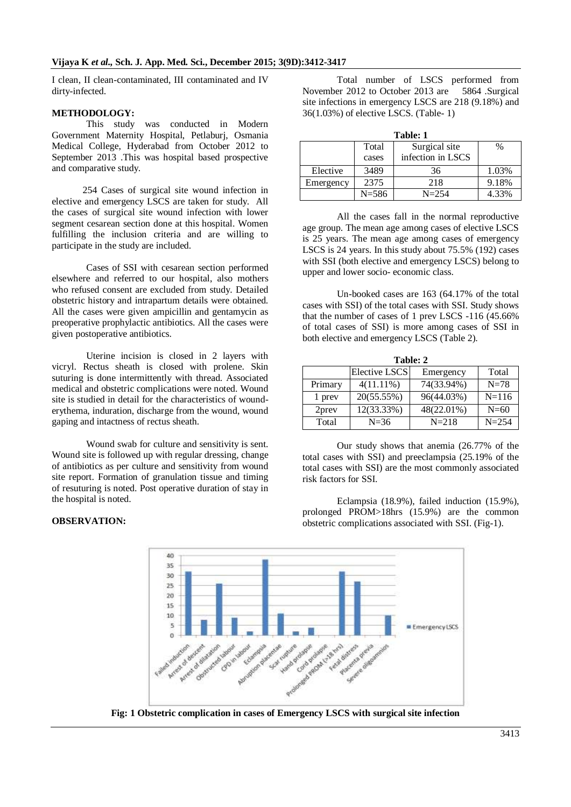I clean, II clean-contaminated, III contaminated and IV dirty-infected.

## **METHODOLOGY:**

This study was conducted in Modern Government Maternity Hospital, Petlaburj, Osmania Medical College, Hyderabad from October 2012 to September 2013 .This was hospital based prospective and comparative study.

 254 Cases of surgical site wound infection in elective and emergency LSCS are taken for study. All the cases of surgical site wound infection with lower segment cesarean section done at this hospital. Women fulfilling the inclusion criteria and are willing to participate in the study are included.

Cases of SSI with cesarean section performed elsewhere and referred to our hospital, also mothers who refused consent are excluded from study. Detailed obstetric history and intrapartum details were obtained. All the cases were given ampicillin and gentamycin as preoperative prophylactic antibiotics. All the cases were given postoperative antibiotics.

Uterine incision is closed in 2 layers with vicryl. Rectus sheath is closed with prolene. Skin suturing is done intermittently with thread. Associated medical and obstetric complications were noted. Wound site is studied in detail for the characteristics of wounderythema, induration, discharge from the wound, wound gaping and intactness of rectus sheath.

Wound swab for culture and sensitivity is sent. Wound site is followed up with regular dressing, change of antibiotics as per culture and sensitivity from wound site report. Formation of granulation tissue and timing of resuturing is noted. Post operative duration of stay in the hospital is noted.

# **OBSERVATION:**

Total number of LSCS performed from November 2012 to October 2013 are 5864 .Surgical site infections in emergency LSCS are 218 (9.18%) and 36(1.03%) of elective LSCS. (Table- 1)

|--|

| танс. т   |           |                   |       |
|-----------|-----------|-------------------|-------|
|           | Total     | Surgical site     | %     |
|           | cases     | infection in LSCS |       |
| Elective  | 3489      | 36                | 1.03% |
| Emergency | 2375      | 218               | 9.18% |
|           | $N = 586$ | $N = 2.54$        | 4.33% |

All the cases fall in the normal reproductive age group. The mean age among cases of elective LSCS is 25 years. The mean age among cases of emergency LSCS is 24 years. In this study about 75.5% (192) cases with SSI (both elective and emergency LSCS) belong to upper and lower socio- economic class.

Un-booked cases are 163 (64.17% of the total cases with SSI) of the total cases with SSI. Study shows that the number of cases of 1 prev LSCS -116 (45.66% of total cases of SSI) is more among cases of SSI in both elective and emergency LSCS (Table 2).

| Table: 2 |               |            |           |  |
|----------|---------------|------------|-----------|--|
|          | Elective LSCS | Emergency  | Total     |  |
| Primary  | $4(11.11\%)$  | 74(33.94%) | $N=78$    |  |
| 1 prev   | 20(55.55%)    | 96(44.03%) | $N = 116$ |  |
| 2prev    | 12(33.33%)    | 48(22.01%) | $N=60$    |  |
| Total    | $N=36$        | $N = 218$  | $N = 254$ |  |

Our study shows that anemia (26.77% of the total cases with SSI) and preeclampsia (25.19% of the total cases with SSI) are the most commonly associated risk factors for SSI.

Eclampsia (18.9%), failed induction (15.9%), prolonged PROM>18hrs (15.9%) are the common obstetric complications associated with SSI. (Fig-1).



**Fig: 1 Obstetric complication in cases of Emergency LSCS with surgical site infection**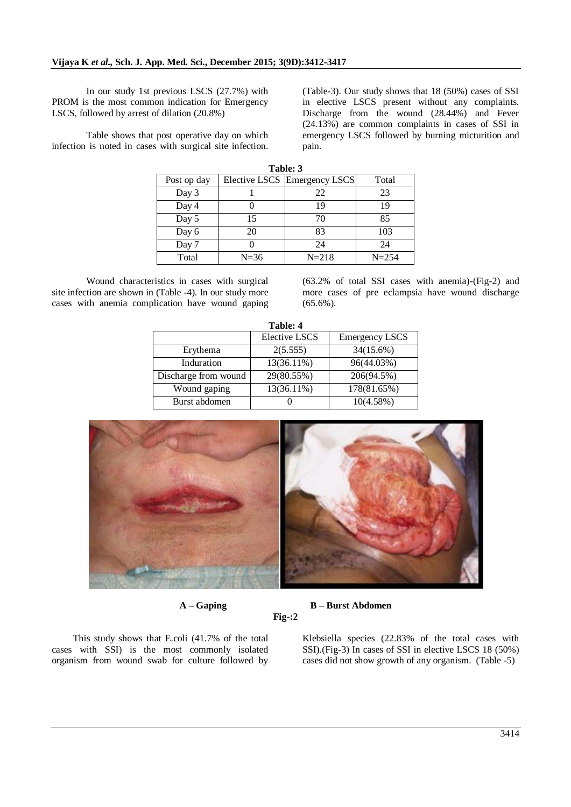In our study 1st previous LSCS (27.7%) with PROM is the most common indication for Emergency LSCS, followed by arrest of dilation (20.8%)

Table shows that post operative day on which infection is noted in cases with surgical site infection.

(Table-3). Our study shows that 18 (50%) cases of SSI in elective LSCS present without any complaints. Discharge from the wound (28.44%) and Fever (24.13%) are common complaints in cases of SSI in emergency LSCS followed by burning micturition and pain.

| Table: 3    |        |                              |           |  |
|-------------|--------|------------------------------|-----------|--|
| Post op day |        | Elective LSCS Emergency LSCS | Total     |  |
| Day 3       |        | 22                           | 23        |  |
| Day 4       |        | 19                           | 19        |  |
| Day 5       | 15     | 70                           | 85        |  |
| Day 6       | 20     | 83                           | 103       |  |
| Day 7       |        | 24                           | 24        |  |
| Total       | $N=36$ | $N = 218$                    | $N = 254$ |  |

Wound characteristics in cases with surgical site infection are shown in (Table -4). In our study more cases with anemia complication have wound gaping

(63.2% of total SSI cases with anemia)-(Fig-2) and more cases of pre eclampsia have wound discharge (65.6%).

| Table: 4             |                      |                       |  |  |
|----------------------|----------------------|-----------------------|--|--|
|                      | <b>Elective LSCS</b> | <b>Emergency LSCS</b> |  |  |
| Erythema             | 2(5.555)             | 34(15.6%)             |  |  |
| Induration           | 13(36.11%)           | 96(44.03%)            |  |  |
| Discharge from wound | 29(80.55%)           | 206(94.5%)            |  |  |
| Wound gaping         | 13(36.11%)           | 178(81.65%)           |  |  |
| Burst abdomen        |                      | 10(4.58%)             |  |  |



**A – Gaping B – Burst Abdomen**

**Fig-:2**

This study shows that E.coli (41.7% of the total cases with SSI) is the most commonly isolated organism from wound swab for culture followed by

Klebsiella species (22.83% of the total cases with SSI).(Fig-3) In cases of SSI in elective LSCS 18 (50%) cases did not show growth of any organism. (Table -5)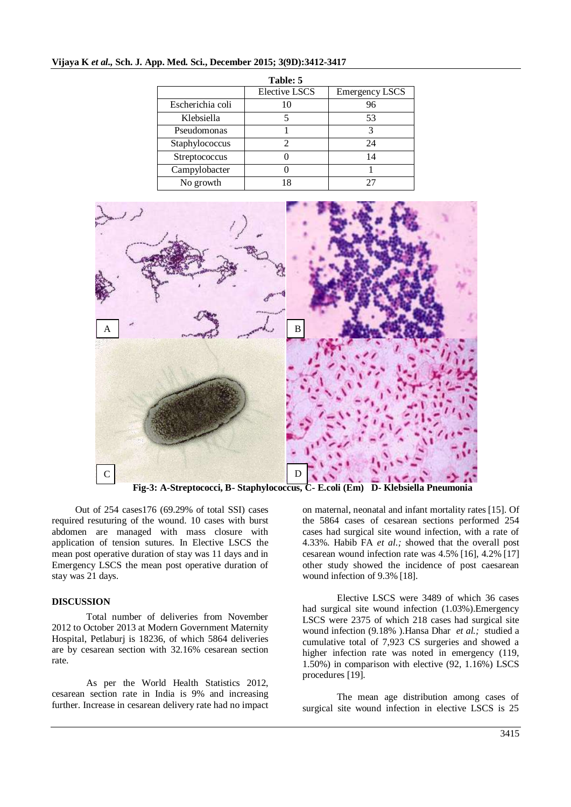# **Vijaya K** *et al.,* **Sch. J. App. Med. Sci., December 2015; 3(9D):3412-3417**

| Table: 5         |                      |                       |  |  |
|------------------|----------------------|-----------------------|--|--|
|                  | <b>Elective LSCS</b> | <b>Emergency LSCS</b> |  |  |
| Escherichia coli | 10                   | 96                    |  |  |
| Klebsiella       |                      | 53                    |  |  |
| Pseudomonas      |                      | 3                     |  |  |
| Staphylococcus   |                      | 24                    |  |  |
| Streptococcus    |                      | 14                    |  |  |
| Campylobacter    |                      |                       |  |  |
| No growth        | 18                   |                       |  |  |



**Fig-3: A-Streptococci, B- Staphylococcus, C- E.coli (Em) D- Klebsiella Pneumonia**

Out of 254 cases176 (69.29% of total SSI) cases required resuturing of the wound. 10 cases with burst abdomen are managed with mass closure with application of tension sutures. In Elective LSCS the mean post operative duration of stay was 11 days and in Emergency LSCS the mean post operative duration of stay was 21 days.

### **DISCUSSION**

Total number of deliveries from November 2012 to October 2013 at Modern Government Maternity Hospital, Petlaburj is 18236, of which 5864 deliveries are by cesarean section with 32.16% cesarean section rate.

As per the World Health Statistics 2012, cesarean section rate in India is 9% and increasing further. Increase in cesarean delivery rate had no impact on maternal, neonatal and infant mortality rates [15]. Of the 5864 cases of cesarean sections performed 254 cases had surgical site wound infection, with a rate of 4.33%. [Habib FA](http://www.ncbi.nlm.nih.gov/pubmed/?term=Habib%20FA%5BAuthor%5D&cauthor=true&cauthor_uid=12370712) *et al.;* showed that the overall post cesarean wound infection rate was 4.5% [16], 4.2% [17] other study showed the incidence of post caesarean wound infection of 9.3% [18].

Elective LSCS were 3489 of which 36 cases had surgical site wound infection (1.03%).Emergency LSCS were 2375 of which 218 cases had surgical site wound infection (9.18% )[.Hansa Dhar](http://www.ncbi.nlm.nih.gov/pubmed/?term=Dhar%20H%5Bauth%5D) *et al.;* studied a cumulative total of 7,923 CS surgeries and showed a higher infection rate was noted in emergency (119, 1.50%) in comparison with elective (92, 1.16%) LSCS procedures [19].

The mean age distribution among cases of surgical site wound infection in elective LSCS is 25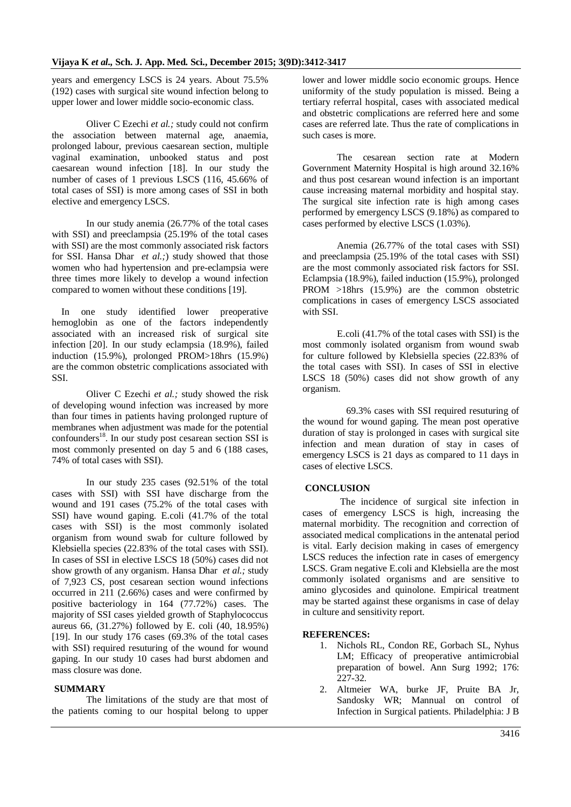years and emergency LSCS is 24 years. About 75.5% (192) cases with surgical site wound infection belong to upper lower and lower middle socio-economic class.

Oliver C Ezechi *et al.;* study could not confirm the association between maternal age, anaemia, prolonged labour, previous caesarean section, multiple vaginal examination, unbooked status and post caesarean wound infection [18]. In our study the number of cases of 1 previous LSCS (116, 45.66% of total cases of SSI) is more among cases of SSI in both elective and emergency LSCS.

In our study anemia (26.77% of the total cases with SSI) and preeclampsia (25.19% of the total cases with SSI) are the most commonly associated risk factors for SSI. [Hansa Dhar](http://www.ncbi.nlm.nih.gov/pubmed/?term=Dhar%20H%5Bauth%5D) *et al.;*) study showed that those women who had hypertension and pre-eclampsia were three times more likely to develop a wound infection compared to women without these conditions [19].

In one study identified lower preoperative hemoglobin as one of the factors independently associated with an increased risk of surgical site infection [20]. In our study eclampsia (18.9%), failed induction (15.9%), prolonged PROM>18hrs (15.9%) are the common obstetric complications associated with SSI.

Oliver C Ezechi *et al.;* study showed the risk of developing wound infection was increased by more than four times in patients having prolonged rupture of membranes when adjustment was made for the potential  $\text{confounds}^{18}$ . In our study post cesarean section SSI is most commonly presented on day 5 and 6 (188 cases, 74% of total cases with SSI).

In our study 235 cases (92.51% of the total cases with SSI) with SSI have discharge from the wound and 191 cases (75.2% of the total cases with SSI) have wound gaping. E.coli (41.7% of the total cases with SSI) is the most commonly isolated organism from wound swab for culture followed by Klebsiella species (22.83% of the total cases with SSI). In cases of SSI in elective LSCS 18 (50%) cases did not show growth of any organism. [Hansa Dhar](http://www.ncbi.nlm.nih.gov/pubmed/?term=Dhar%20H%5Bauth%5D) *et al.;* study of 7,923 CS, post cesarean section wound infections occurred in 211 (2.66%) cases and were confirmed by positive bacteriology in 164 (77.72%) cases. The majority of SSI cases yielded growth of Staphylococcus aureus 66, (31.27%) followed by E. coli (40, 18.95%) [19]. In our study 176 cases (69.3% of the total cases with SSI) required resuturing of the wound for wound gaping. In our study 10 cases had burst abdomen and mass closure was done.

## **SUMMARY**

The limitations of the study are that most of the patients coming to our hospital belong to upper

lower and lower middle socio economic groups. Hence uniformity of the study population is missed. Being a tertiary referral hospital, cases with associated medical and obstetric complications are referred here and some cases are referred late. Thus the rate of complications in such cases is more.

The cesarean section rate at Modern Government Maternity Hospital is high around 32.16% and thus post cesarean wound infection is an important cause increasing maternal morbidity and hospital stay. The surgical site infection rate is high among cases performed by emergency LSCS (9.18%) as compared to cases performed by elective LSCS (1.03%).

Anemia (26.77% of the total cases with SSI) and preeclampsia (25.19% of the total cases with SSI) are the most commonly associated risk factors for SSI. Eclampsia (18.9%), failed induction (15.9%), prolonged PROM >18hrs (15.9%) are the common obstetric complications in cases of emergency LSCS associated with SSI.

E.coli (41.7% of the total cases with SSI) is the most commonly isolated organism from wound swab for culture followed by Klebsiella species (22.83% of the total cases with SSI). In cases of SSI in elective LSCS 18 (50%) cases did not show growth of any organism.

69.3% cases with SSI required resuturing of the wound for wound gaping. The mean post operative duration of stay is prolonged in cases with surgical site infection and mean duration of stay in cases of emergency LSCS is 21 days as compared to 11 days in cases of elective LSCS.

# **CONCLUSION**

The incidence of surgical site infection in cases of emergency LSCS is high, increasing the maternal morbidity. The recognition and correction of associated medical complications in the antenatal period is vital. Early decision making in cases of emergency LSCS reduces the infection rate in cases of emergency LSCS. Gram negative E.coli and Klebsiella are the most commonly isolated organisms and are sensitive to amino glycosides and quinolone. Empirical treatment may be started against these organisms in case of delay in culture and sensitivity report.

### **REFERENCES:**

- 1. Nichols RL, Condon RE, Gorbach SL, Nyhus LM; Efficacy of preoperative antimicrobial preparation of bowel. Ann Surg 1992; 176: 227-32.
- 2. Altmeier WA, burke JF, Pruite BA Jr, Sandosky WR; Mannual on control of Infection in Surgical patients. Philadelphia: J B